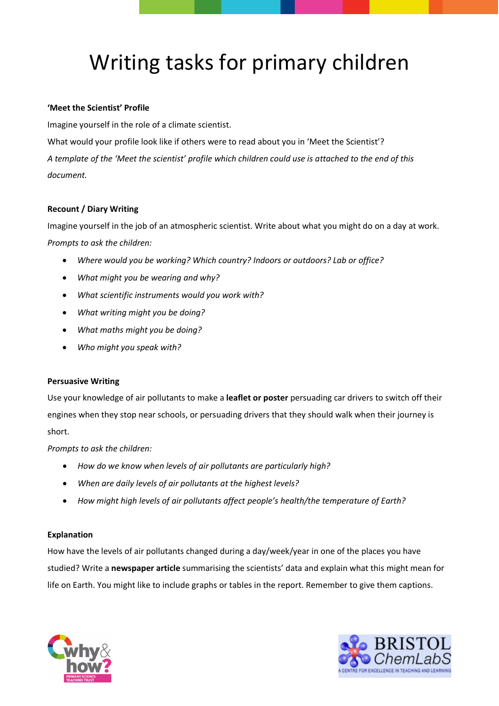# Writing tasks for primary children

### **'Meet the Scientist' Profile**

Imagine yourself in the role of a climate scientist.

What would your profile look like if others were to read about you in 'Meet the Scientist'? *A template of the 'Meet the scientist' profile which children could use is attached to the end of this document.*

### **Recount / Diary Writing**

Imagine yourself in the job of an atmospheric scientist. Write about what you might do on a day at work. *Prompts to ask the children:*

- *Where would you be working? Which country? Indoors or outdoors? Lab or office?*
- *What might you be wearing and why?*
- *What scientific instruments would you work with?*
- *What writing might you be doing?*
- *What maths might you be doing?*
- *Who might you speak with?*

### **Persuasive Writing**

Use your knowledge of air pollutants to make a **leaflet or poster** persuading car drivers to switch off their engines when they stop near schools, or persuading drivers that they should walk when their journey is short.

### *Prompts to ask the children:*

- *How do we know when levels of air pollutants are particularly high?*
- *When are daily levels of air pollutants at the highest levels?*
- *How might high levels of air pollutants affect people's health/the temperature of Earth?*

### **Explanation**

How have the levels of air pollutants changed during a day/week/year in one of the places you have studied? Write a **newspaper article** summarising the scientists' data and explain what this might mean for life on Earth. You might like to include graphs or tables in the report. Remember to give them captions.



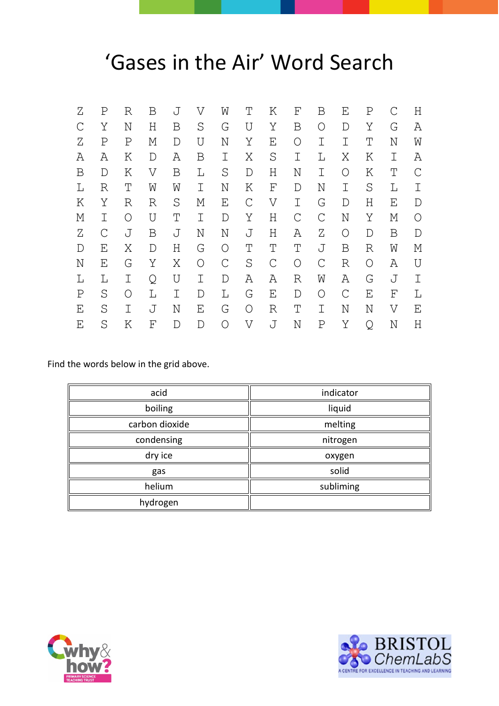## 'Gases in the Air' Word Search

| Ζ            | Ρ            | R | В | J | V | W            | Т           | Κ            | F           | Β            | Ε            | Ρ          |   | Η       |
|--------------|--------------|---|---|---|---|--------------|-------------|--------------|-------------|--------------|--------------|------------|---|---------|
| $\mathsf{C}$ | Υ            | N | Η | Β | S | G            | U           | Υ            | Β           | Ο            | D            | Υ          | G | Α       |
| Ζ            | Ρ            | Ρ | М | D | U | Ν            | Υ           | Ε            | О           | Ι            | Ι            | Т          | Ν | W       |
| Α            | Λ            | Κ | D | Α | Β | Ι            | Χ           | S            | Ι           | L            | Χ            | Κ          | Ι | Α       |
| Β            | D            | Κ | V | Β | L | S            | D           | Η            | Ν           | Ι            | О            | Κ          | Τ | C       |
| L            | R            | Т | W | W | Ι | Ν            | Κ           | F            | D           | Ν            | Ι            | S          | L | Ι       |
| Κ            | Υ            | R | R | S | М | Ε            | $\mathsf C$ | V            | Ι           | G            | D            | Η          | Е | D       |
| М            | Ι            | Ο | U | Т | Ι | D            | Υ           | Η            | $\mathsf C$ | $\mathsf{C}$ | Ν            | Υ          | Μ | $\circ$ |
| Ζ            | $\mathsf{C}$ | J | Β | J | Ν | Ν            | J           | Η            | Α           | Ζ            | O            | D          | Β | D       |
| D            | Е            | Χ | D | Η | G | $\circ$      | Τ           | Τ            | Τ           | J            | Β            | R          | W | М       |
| N            | Е            | G | Υ | Χ | O | $\mathsf{C}$ | S           | $\mathsf{C}$ | О           | $\mathsf{C}$ | R            | $\bigcirc$ | Α | U       |
| L            | L            | Ι | Q | U | Ι | D            | Α           | Α            | R           | W            | Α            | G          | J | Ι       |
| Ρ            | S            | O | L | Ι | D | L            | G           | Е            | D           | $\circ$      | $\mathsf{C}$ | Е          | F | L       |
| Е            | S            | Ι | J | Ν | Е | G            | O           | R            | Τ           | Ι            | Ν            | Ν          | V | Е       |
| Е            | S            | Κ | F | D | D | ∩            | V           | J            | Ν           | Ρ            | Υ            | Q          | Ν | Η       |
|              |              |   |   |   |   |              |             |              |             |              |              |            |   |         |

Find the words below in the grid above.

| acid           | indicator |  |  |  |  |
|----------------|-----------|--|--|--|--|
| boiling        | liquid    |  |  |  |  |
| carbon dioxide | melting   |  |  |  |  |
| condensing     | nitrogen  |  |  |  |  |
| dry ice        | oxygen    |  |  |  |  |
| gas            | solid     |  |  |  |  |
| helium         | subliming |  |  |  |  |
| hydrogen       |           |  |  |  |  |



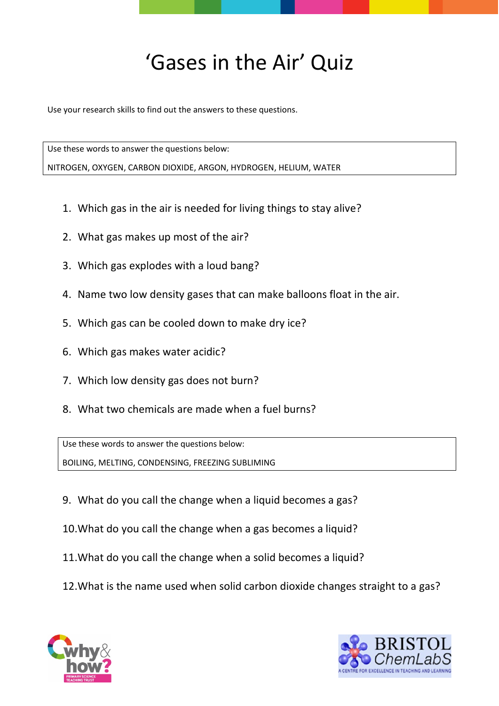# 'Gases in the Air' Quiz

Use your research skills to find out the answers to these questions.

Use these words to answer the questions below: NITROGEN, OXYGEN, CARBON DIOXIDE, ARGON, HYDROGEN, HELIUM, WATER

- 1. Which gas in the air is needed for living things to stay alive?
- 2. What gas makes up most of the air?
- 3. Which gas explodes with a loud bang?
- 4. Name two low density gases that can make balloons float in the air.
- 5. Which gas can be cooled down to make dry ice?
- 6. Which gas makes water acidic?
- 7. Which low density gas does not burn?
- 8. What two chemicals are made when a fuel burns?

Use these words to answer the questions below: BOILING, MELTING, CONDENSING, FREEZING SUBLIMING

- 9. What do you call the change when a liquid becomes a gas?
- 10.What do you call the change when a gas becomes a liquid?
- 11.What do you call the change when a solid becomes a liquid?
- 12.What is the name used when solid carbon dioxide changes straight to a gas?



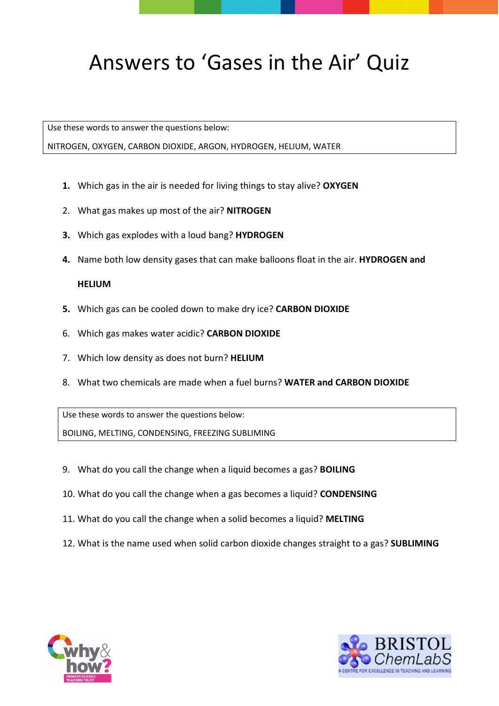## Answers to 'Gases in the Air' Quiz

Use these words to answer the questions below:

NITROGEN, OXYGEN, CARBON DIOXIDE, ARGON, HYDROGEN, HELIUM, WATER

- **1.** Which gas in the air is needed for living things to stay alive? **OXYGEN**
- 2. What gas makes up most of the air? **NITROGEN**
- **3.** Which gas explodes with a loud bang? **HYDROGEN**
- **4.** Name both low density gases that can make balloons float in the air. **HYDROGEN and**

### **HELIUM**

- **5.** Which gas can be cooled down to make dry ice? **CARBON DIOXIDE**
- 6. Which gas makes water acidic? **CARBON DIOXIDE**
- 7. Which low density as does not burn? **HELIUM**
- 8. What two chemicals are made when a fuel burns? **WATER and CARBON DIOXIDE**

Use these words to answer the questions below:

BOILING, MELTING, CONDENSING, FREEZING SUBLIMING

- 9. What do you call the change when a liquid becomes a gas? **BOILING**
- 10. What do you call the change when a gas becomes a liquid? **CONDENSING**
- 11. What do you call the change when a solid becomes a liquid? **MELTING**
- 12. What is the name used when solid carbon dioxide changes straight to a gas? **SUBLIMING**